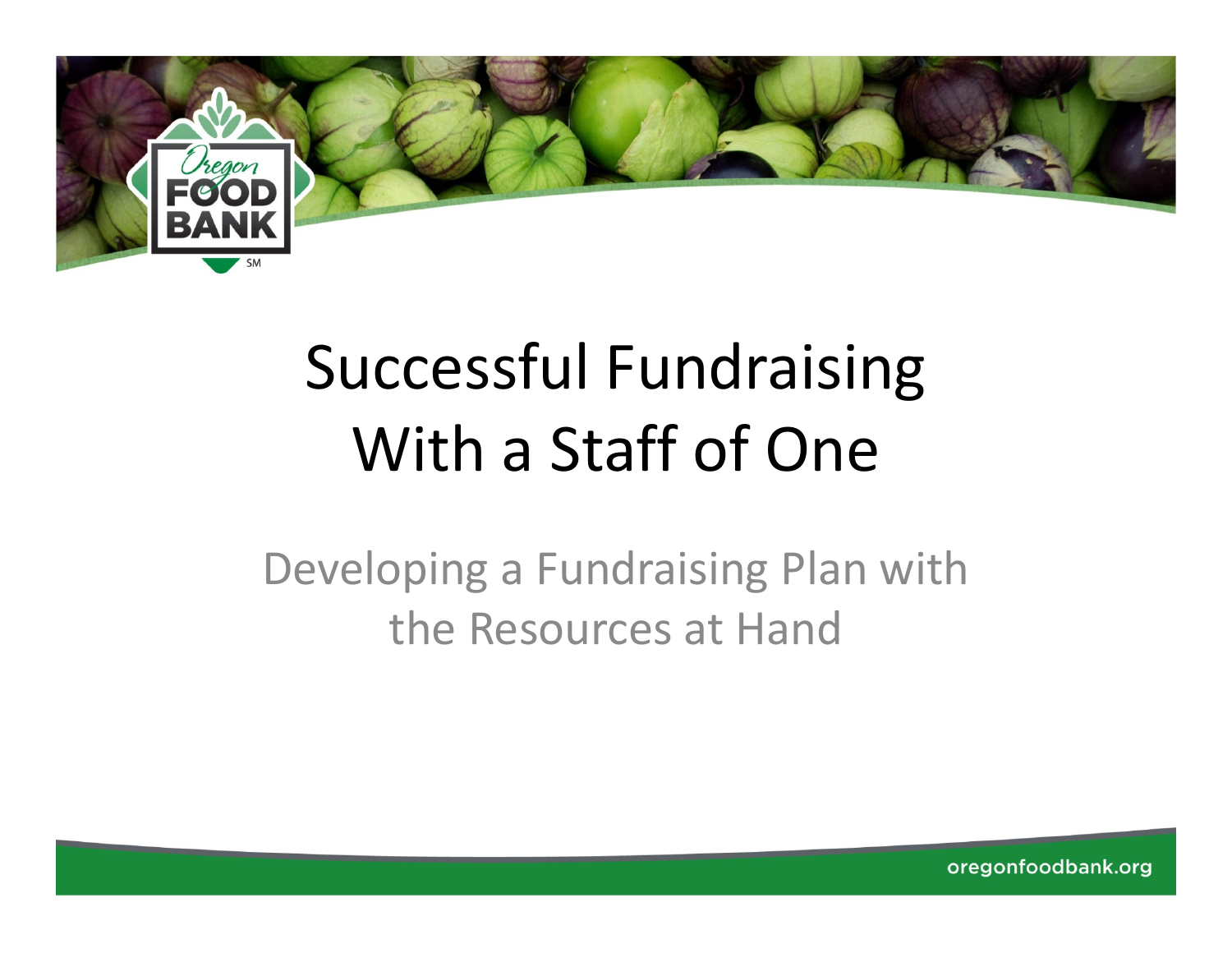

# Successful Fundraising With a Staff of One

Developing a Fundraising Plan with the Resources at Hand

oregonfoodbank.org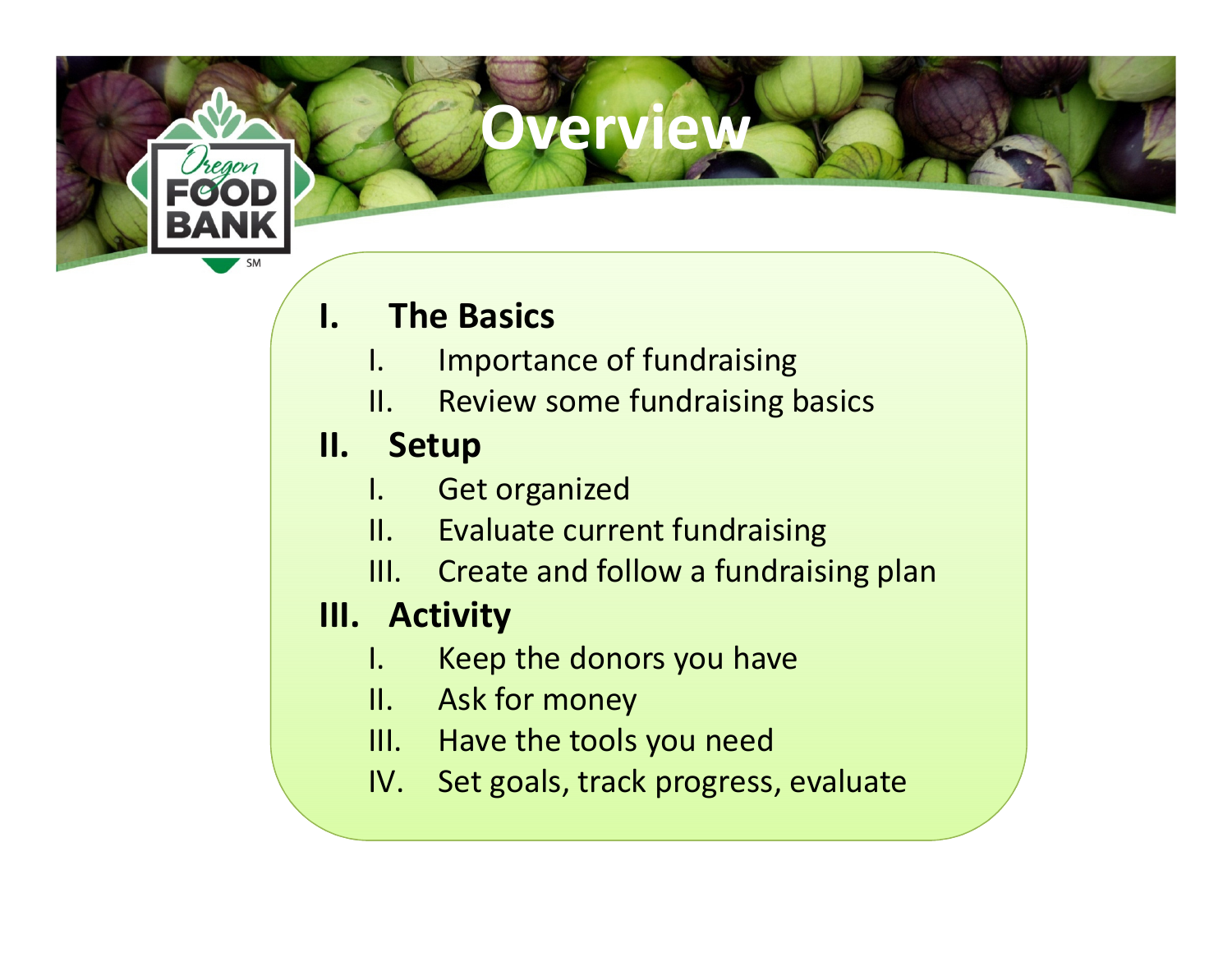## verview

# **I.** The Basics<br>I. Importar

- Importance of fundraising
- II. Review some fundraising basics
- **II. Setup**<br>L. Get
	- Get organized
	- II. Evaluate current fundraising
	- III. Create and follow a fundraising plan

# **III. Activity**<br>L. Keep

- Keep the donors you have
- II. Ask for money
- III. Have the tools you need
- IV. Set goals, track progress, evaluate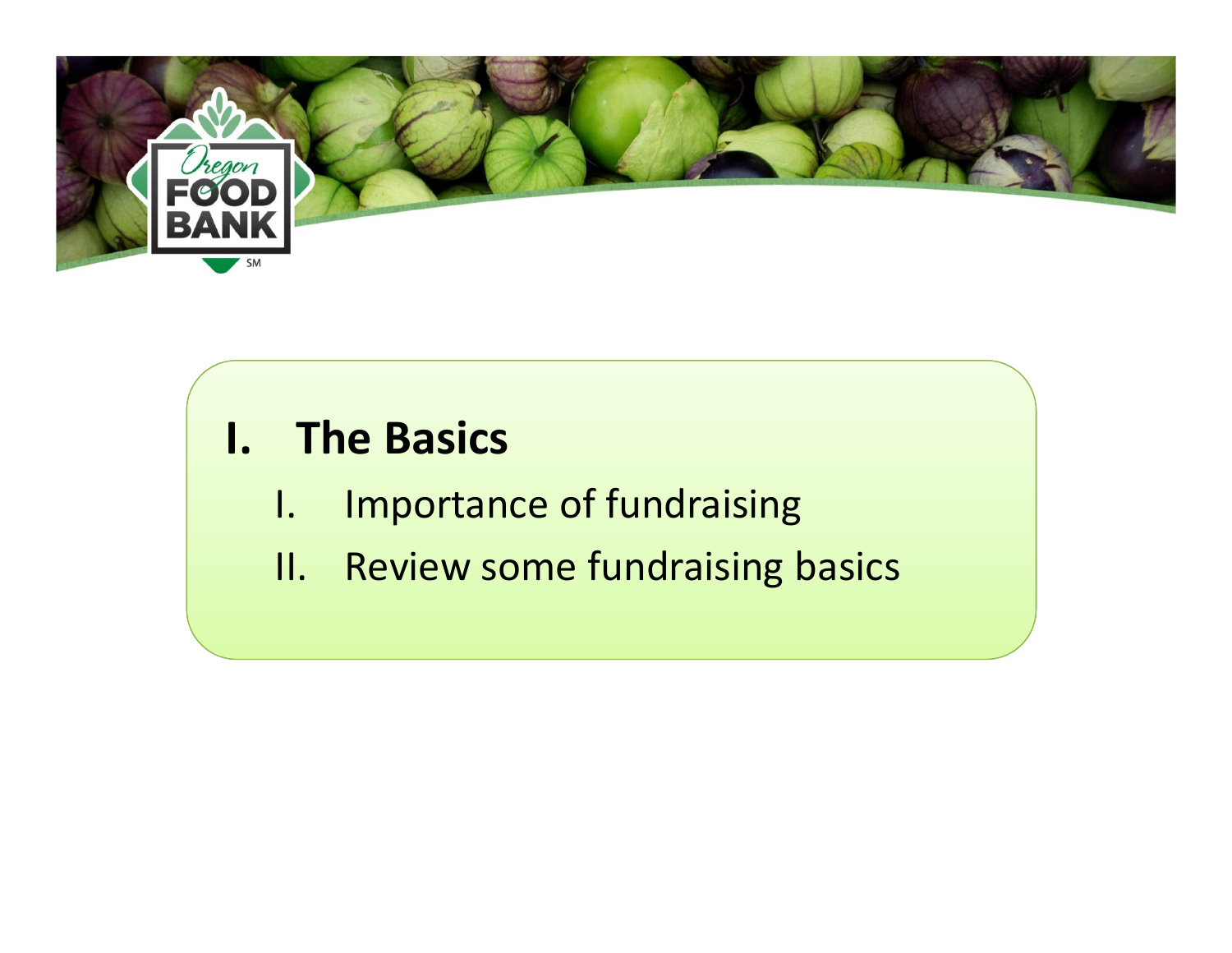

### I. The Basics

- I. Importance of fundraising
- II. Review some fundraising basics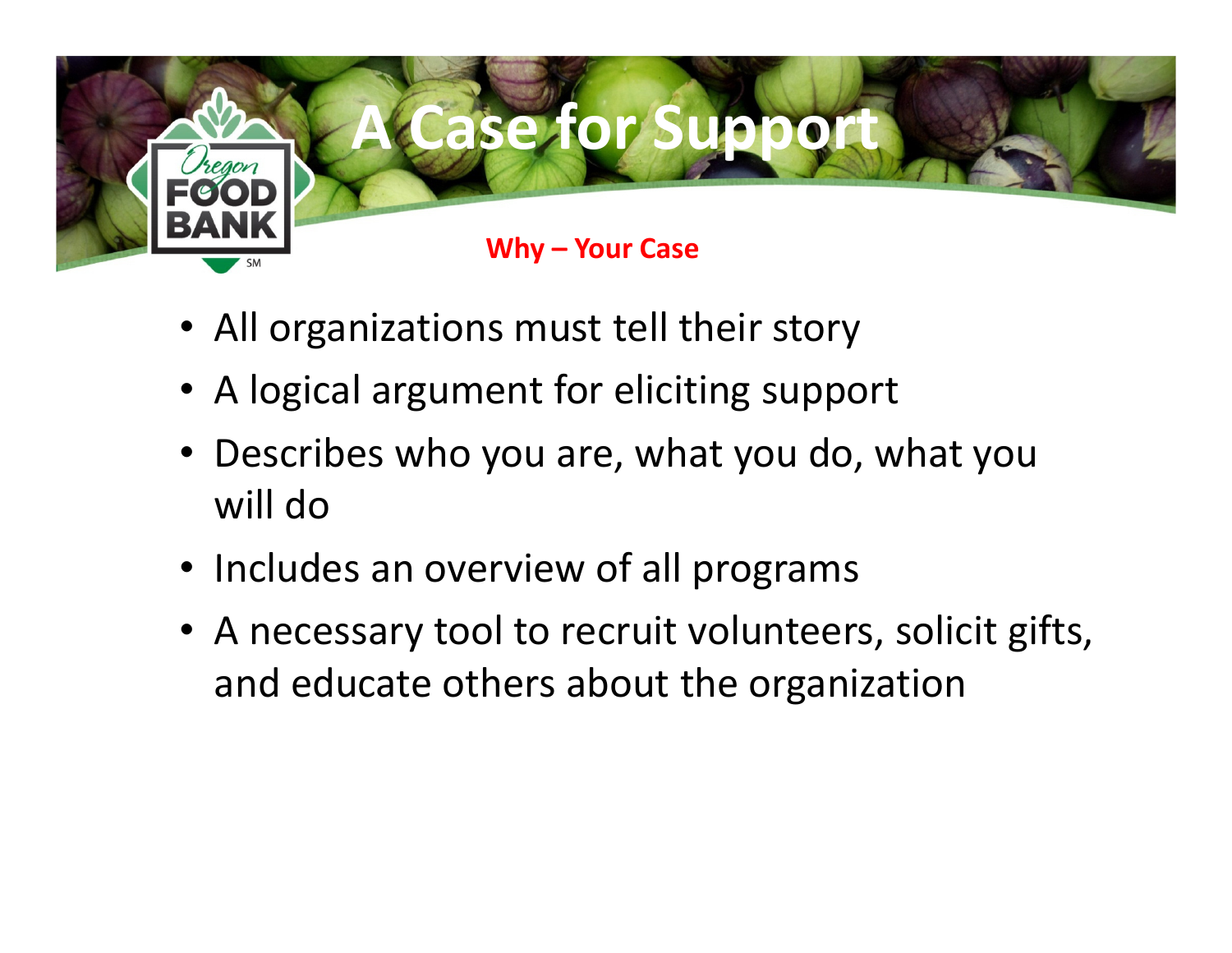

- All organizations must tell their story
- A logical argument for eliciting support
- Describes who you are, what you do, what you will do
- Includes an overview of all programs
- A necessary tool to recruit volunteers, solicit gifts, and educate others about the organization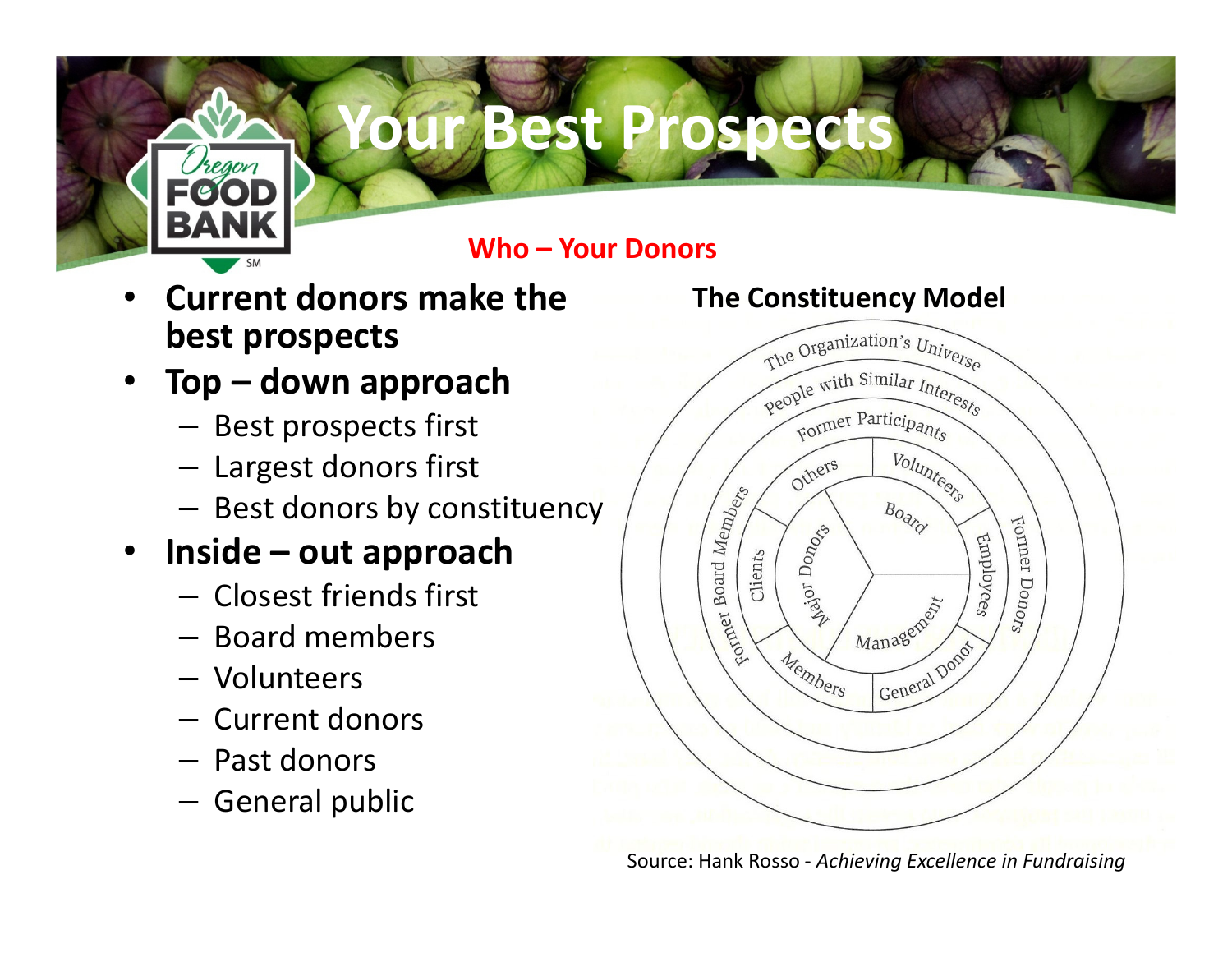

# **Ur Best Prospects**

Who – Your Donors

- • Current donors make the best prospects
- • Top – down approach
	- Best prospects first
	- Largest donors first
	- Best donors by constituency

#### •Inside – out approach

- Closest friends first
- Board members
- Volunteers
- Current donors
- Past donors
- General public



Source: Hank Rosso - Achieving Excellence in Fundraising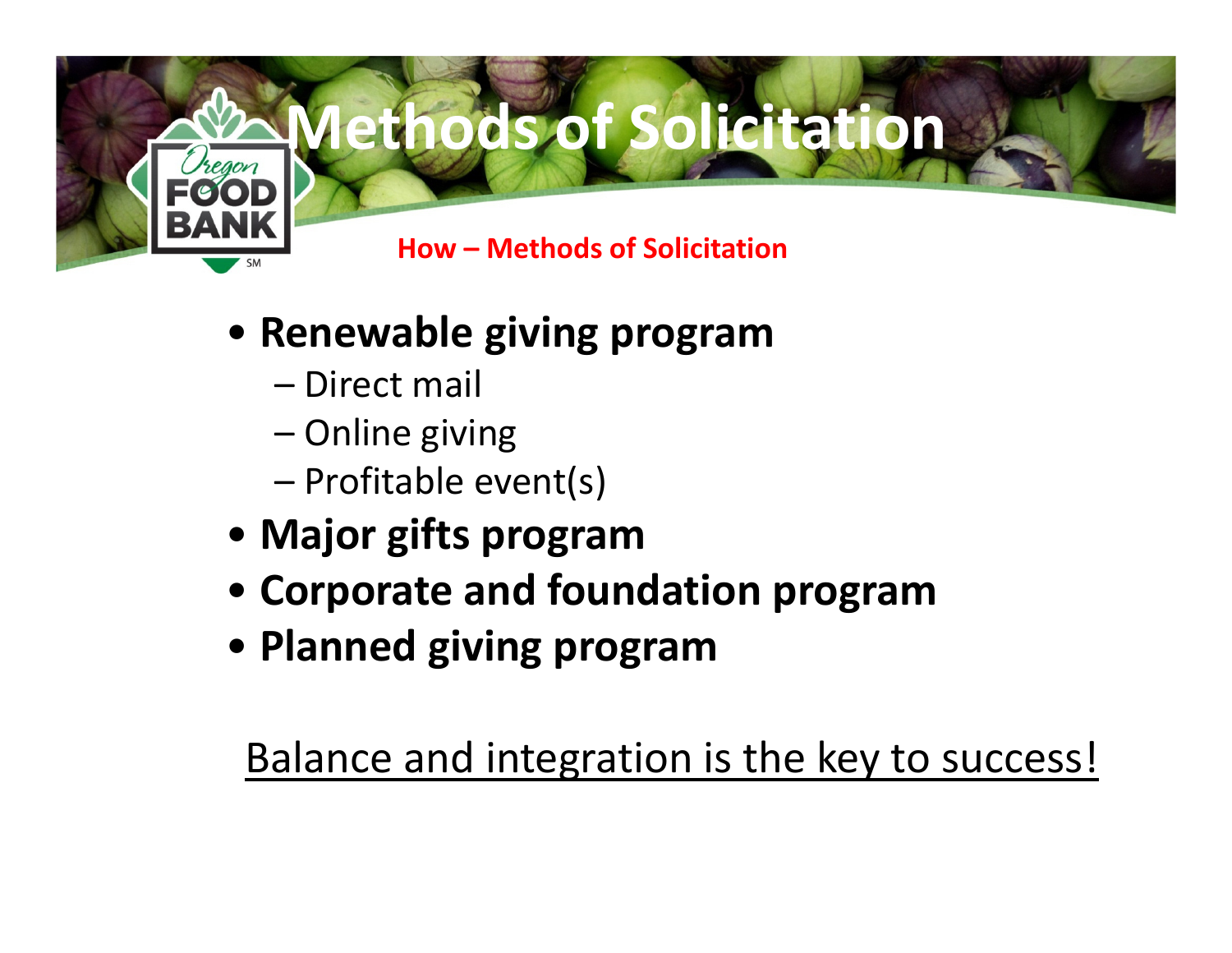

- Renewable giving program
	- Direct mail
	- Online giving
	- Profitable event(s)
- Major gifts program
- Corporate and foundation program
- Planned giving program

Balance and integration is the key to success!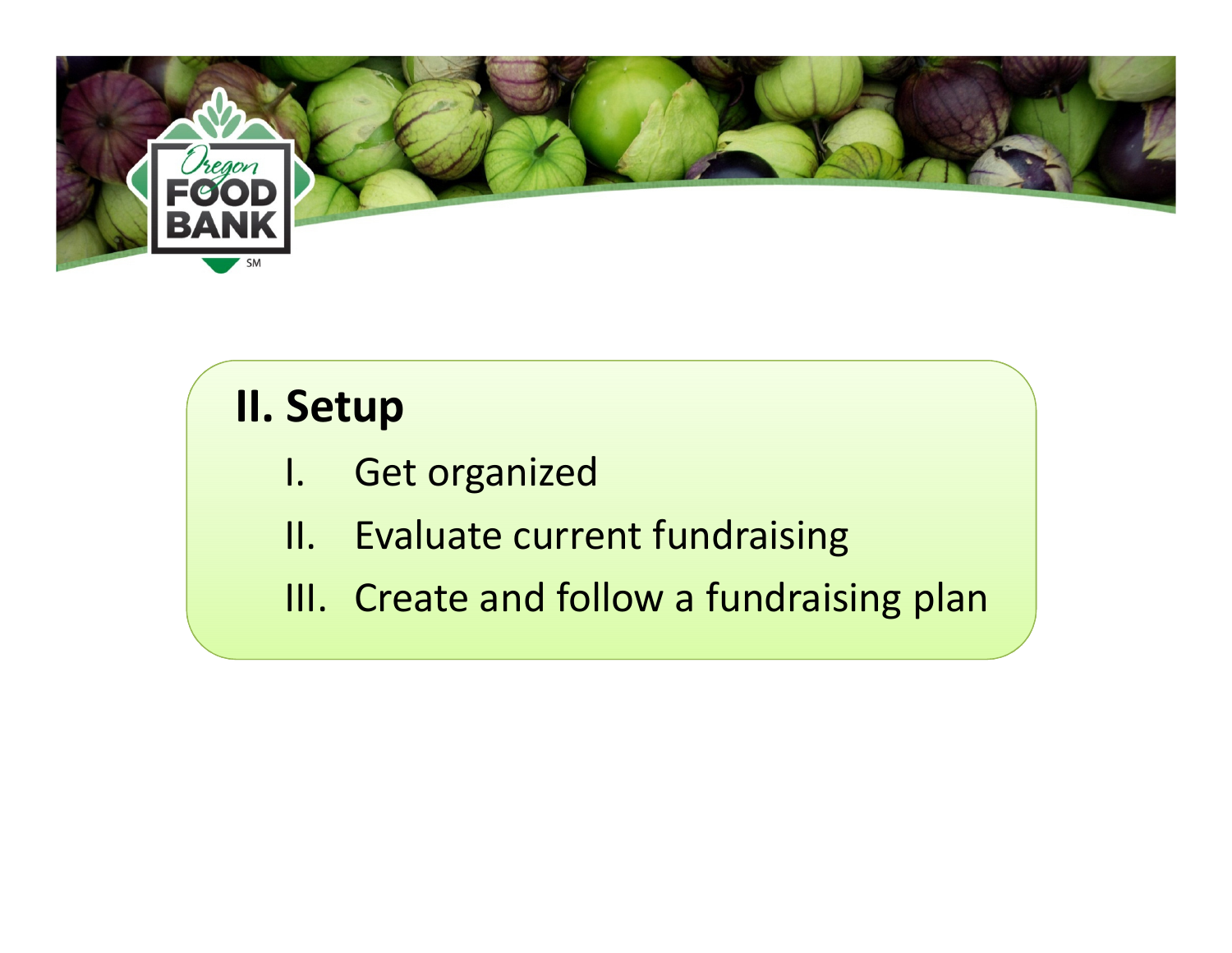

## II. Setup

- I. Get organized
- II. Evaluate current fundraising
- III. Create and follow a fundraising plan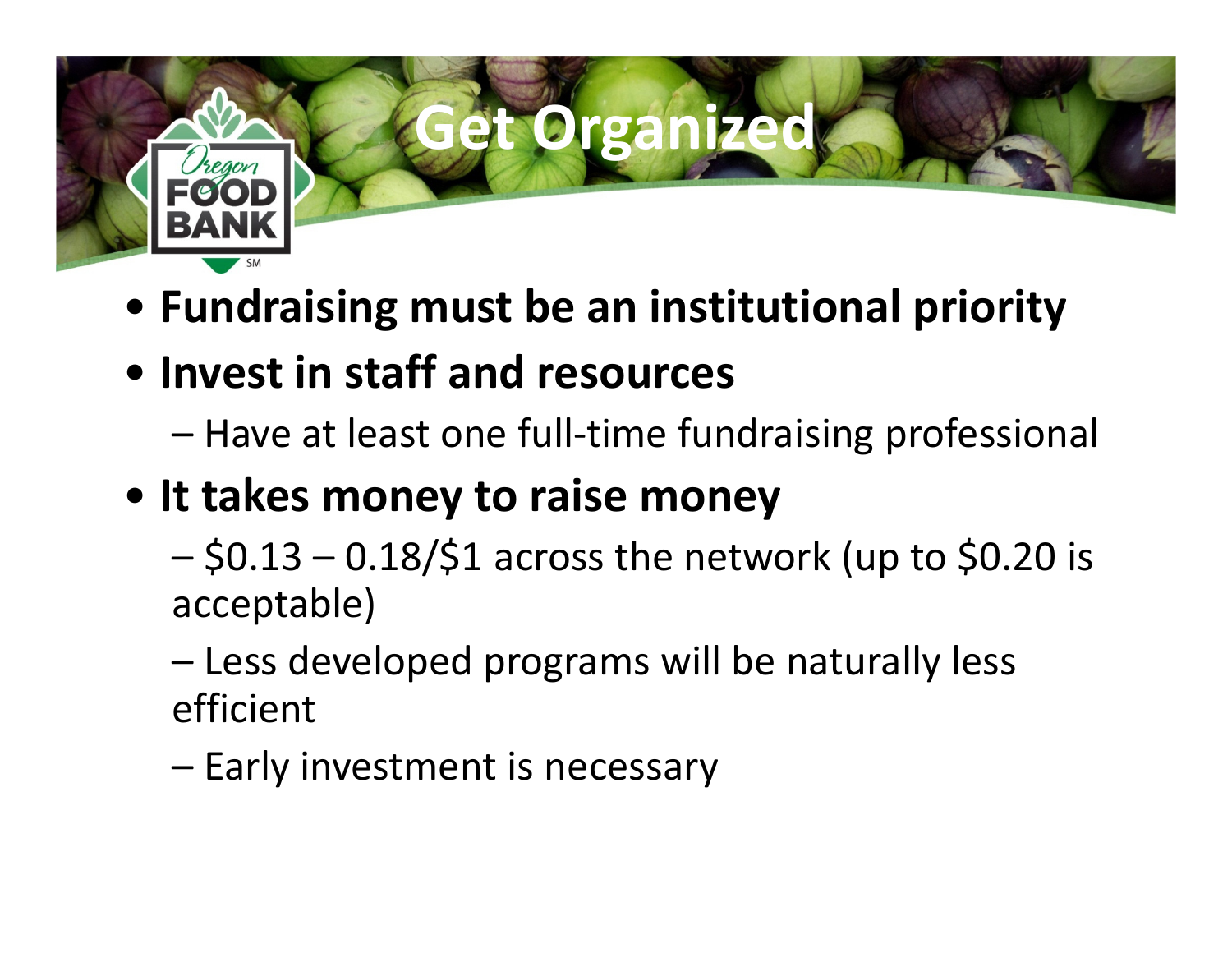

- Fundraising must be an institutional priority
- Invest in staff and resources
	- Have at least one full-time fundraising professional
- It takes money to raise money
	- – $$0.13 - 0.18$ /\$1 across the network (up to \$0.20 is acceptable)
	- –Less developed programs will be naturally less efficient
	- Early investment is necessary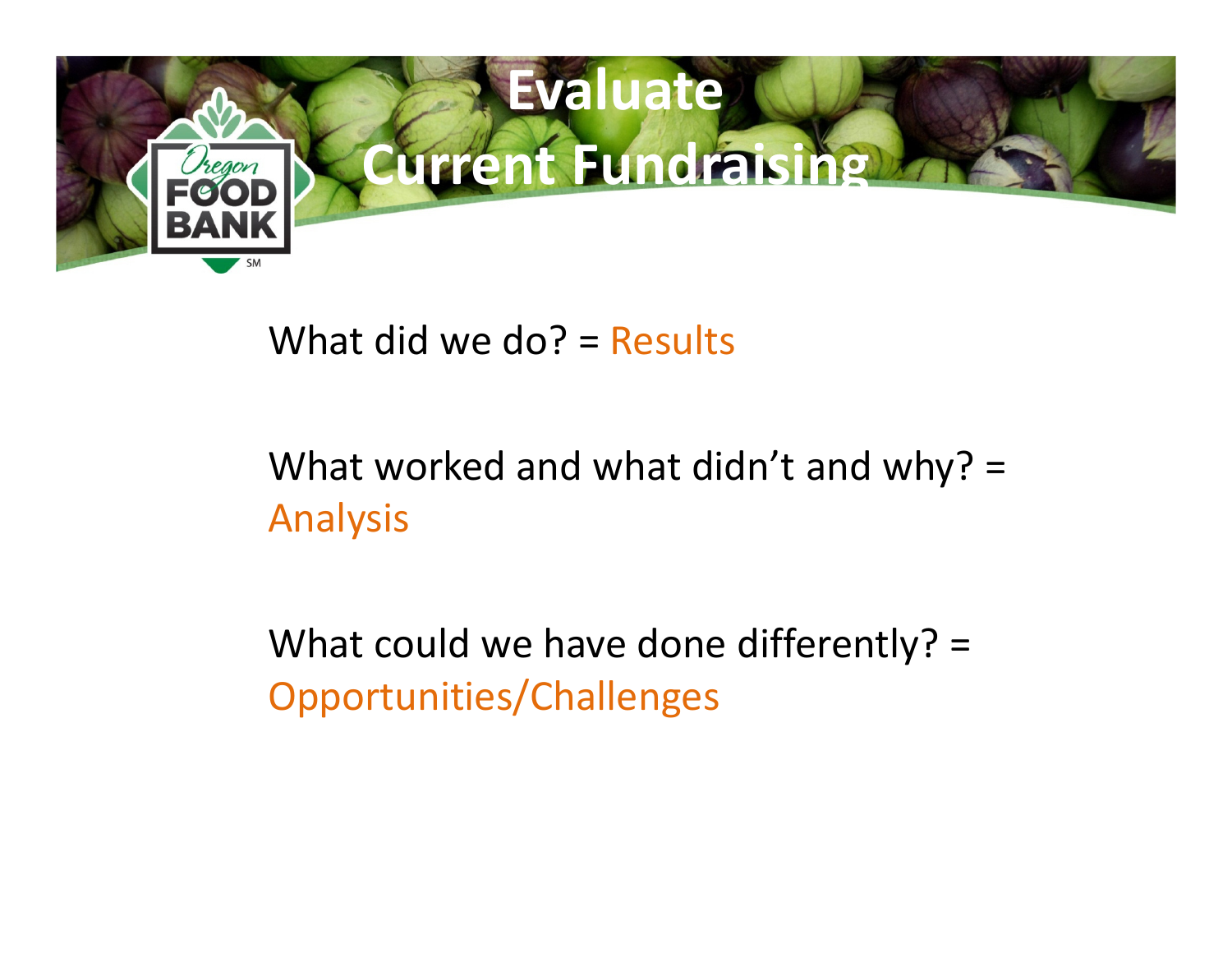

#### What did we do? = Results

### What worked and what didn't and why? = Analysis

What could we have done differently? = Opportunities/Challenges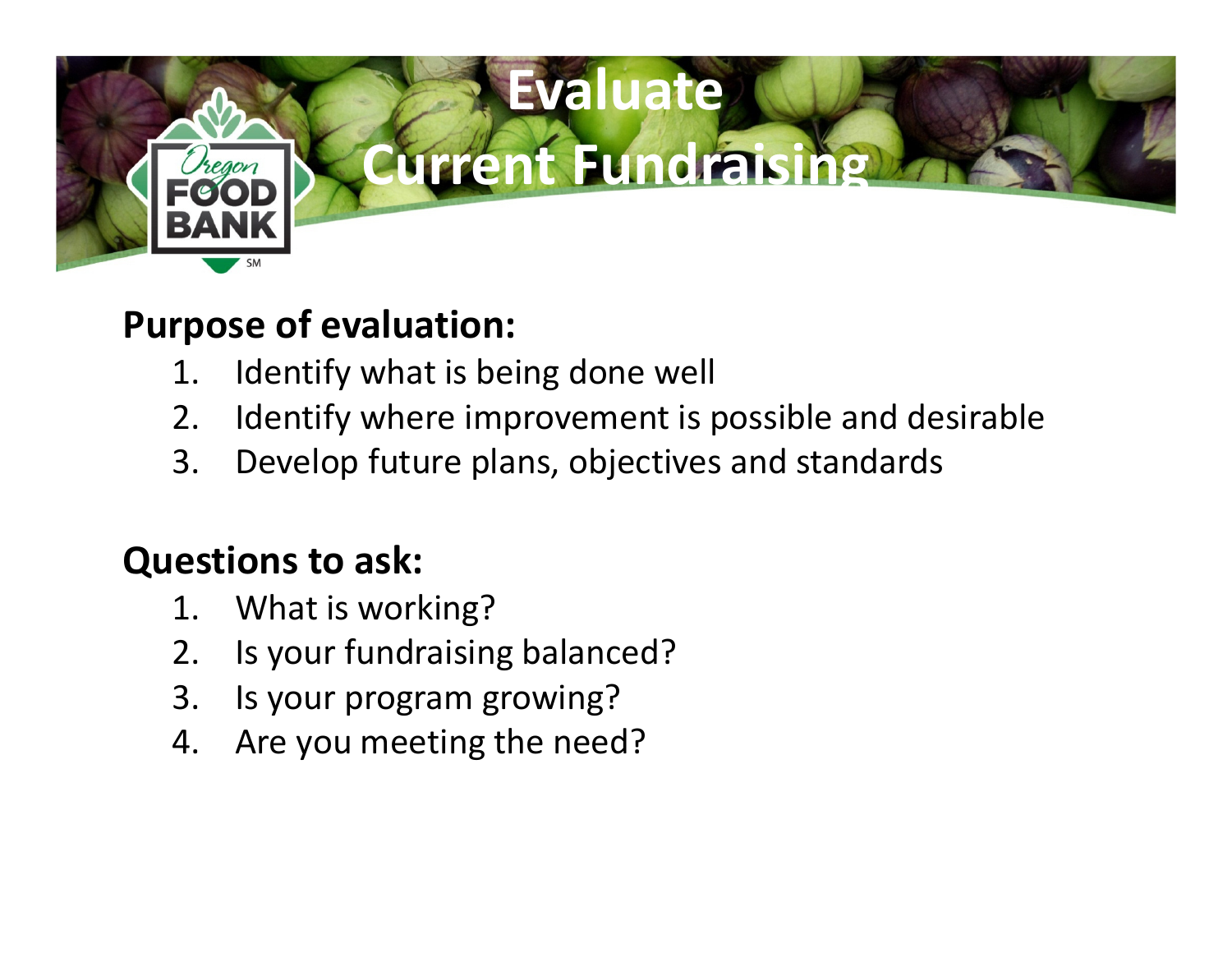

#### Purpose of evaluation:

- 1. Identify what is being done well
- 2. Identify where improvement is possible and desirable<br>3. Develop future plans, obiectives and standards
- Develop future plans, objectives and standards

#### Questions to ask:

- 1. What is working?
- 2. Is your fundraising balanced?
- 3. Is your program growing?
- 4. Are you meeting the need?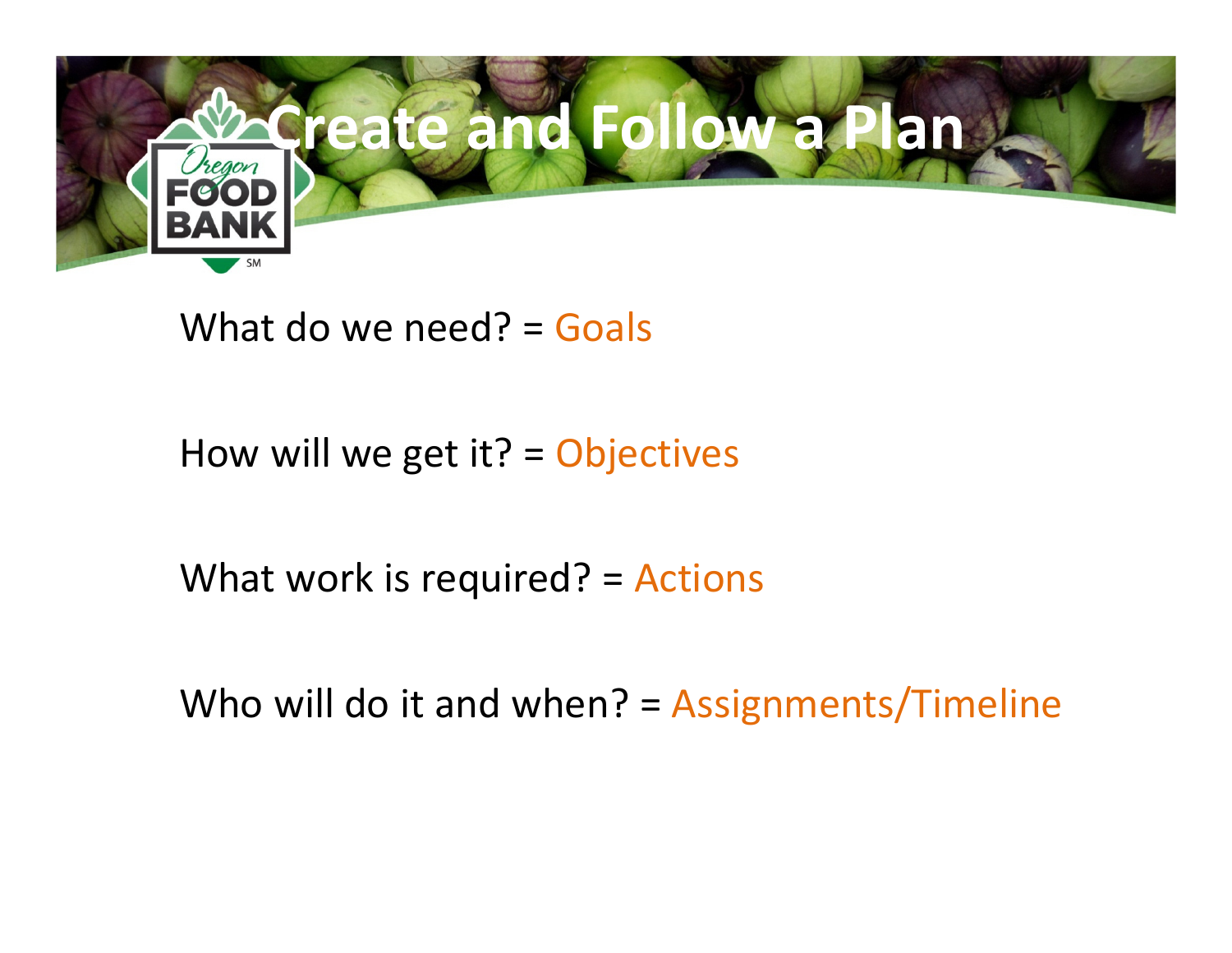

What do we need? = Goals

How will we get it?  $=$  Objectives

What work is required? = Actions

Who will do it and when? = Assignments/Timeline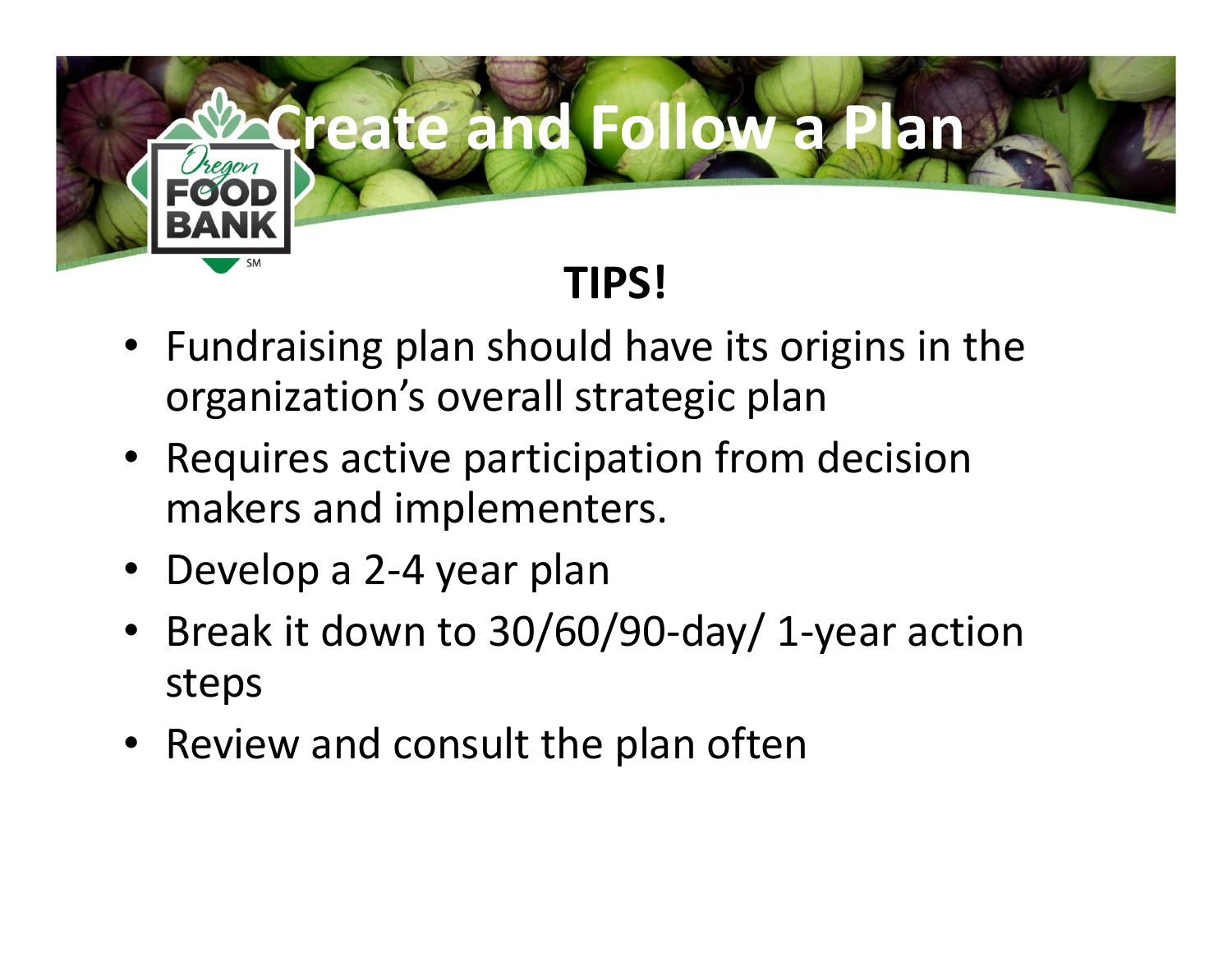

- Fundraising plan should have its origins in the organization's overall strategic plan
- Requires active participation from decision makers and implementers.
- Develop a 2-4 year plan
- Break it down to 30/60/90-day/ 1-year action steps
- Review and consult the plan often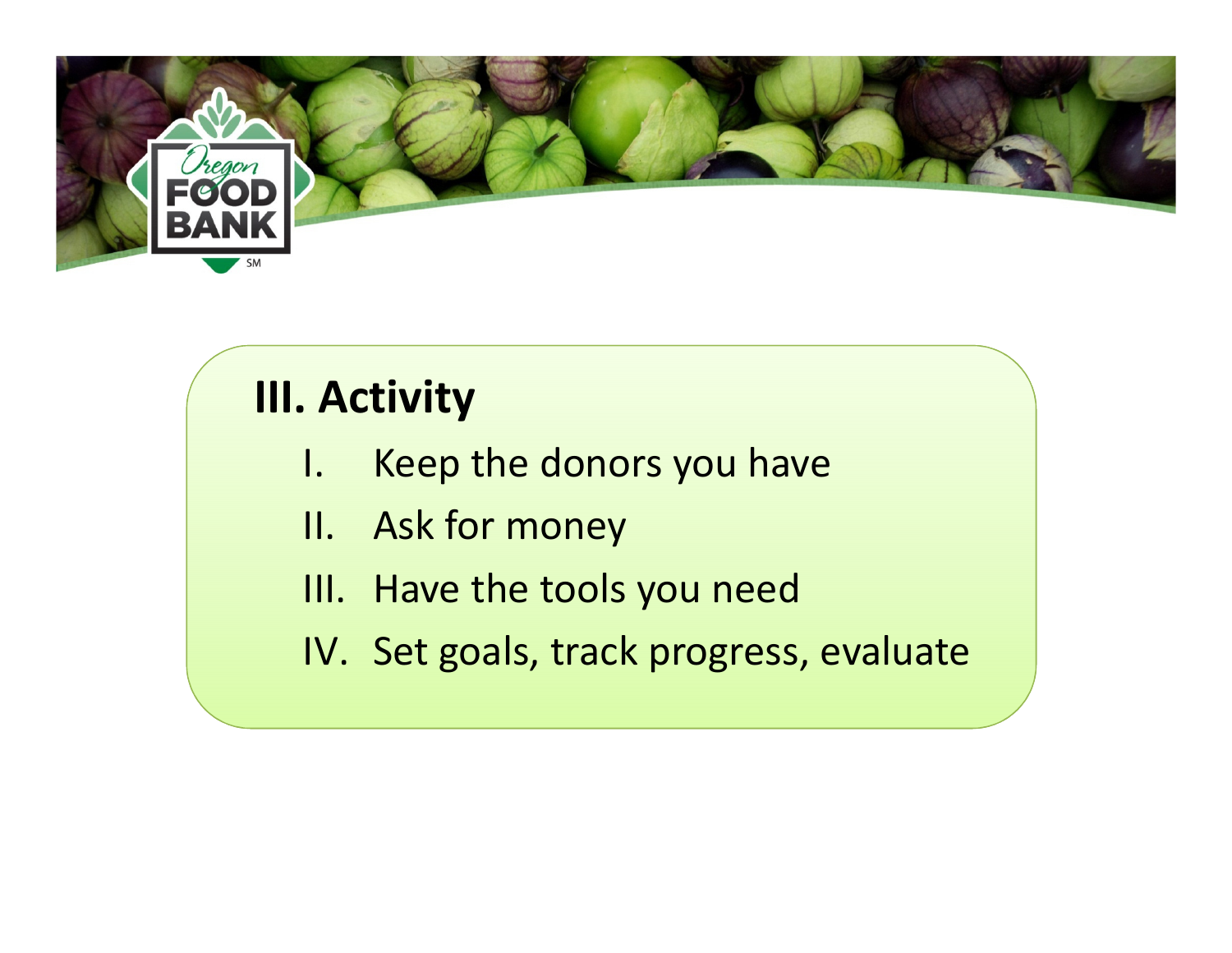

## III. Activity

- I. Keep the donors you have
- II. Ask for money
- III. Have the tools you need
- IV. Set goals, track progress, evaluate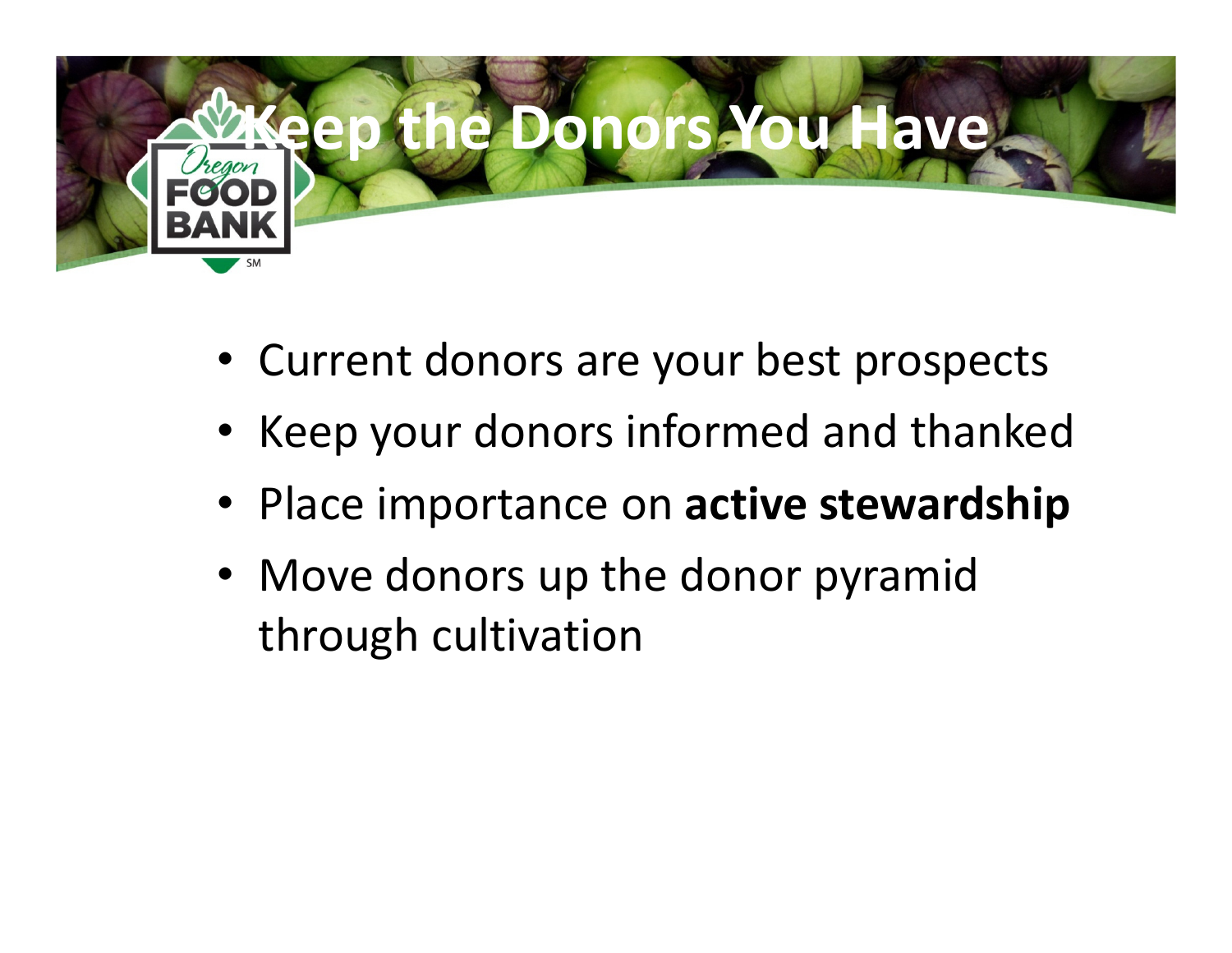

- Current donors are your best prospects
- Keep your donors informed and thanked
- Place importance on active stewardship
- Move donors up the donor pyramid through cultivation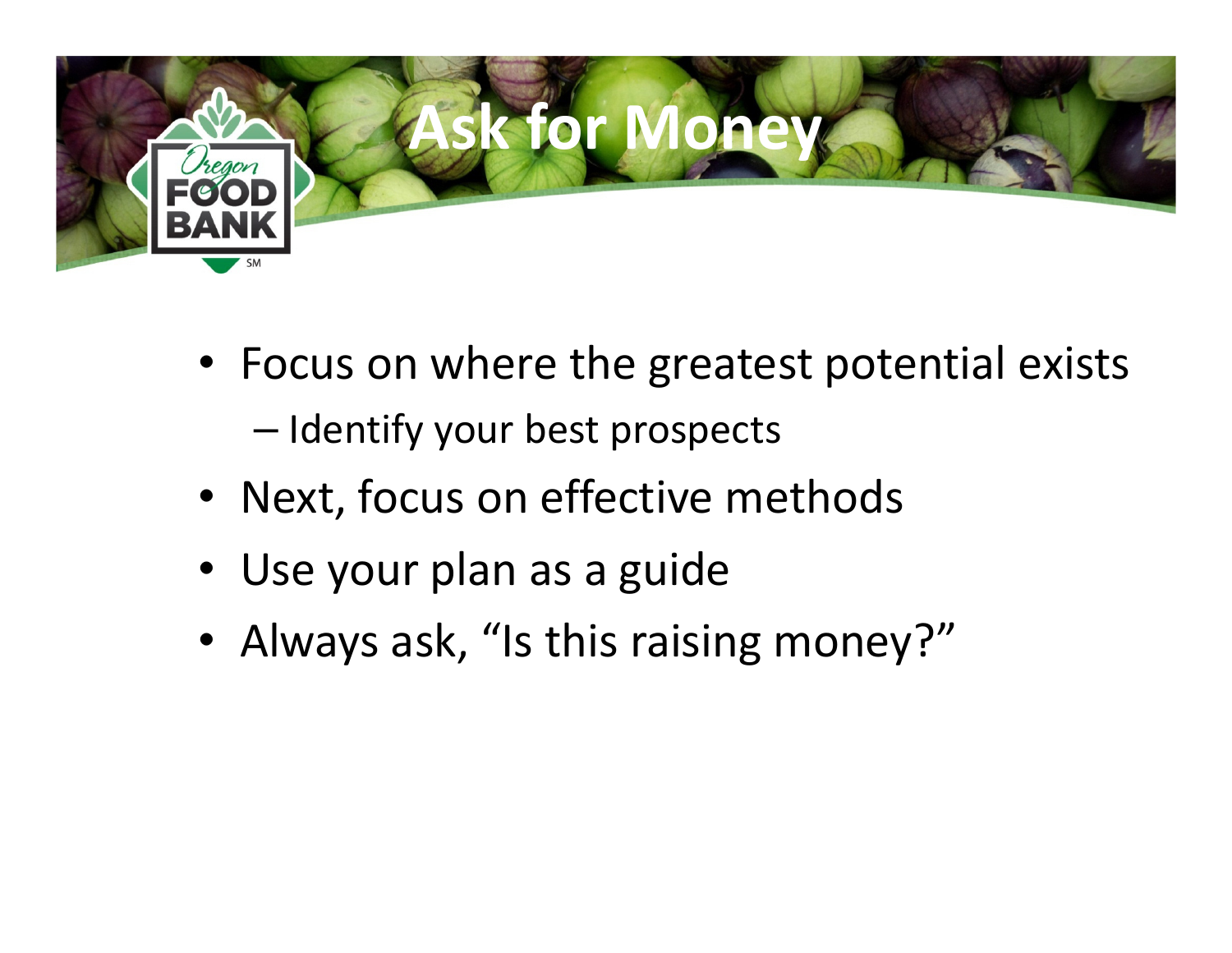

- Focus on where the greatest potential exists–— Identify your best prospects
- Next, focus on effective methods
- Use your plan as a guide
- Always ask, "Is this raising money?"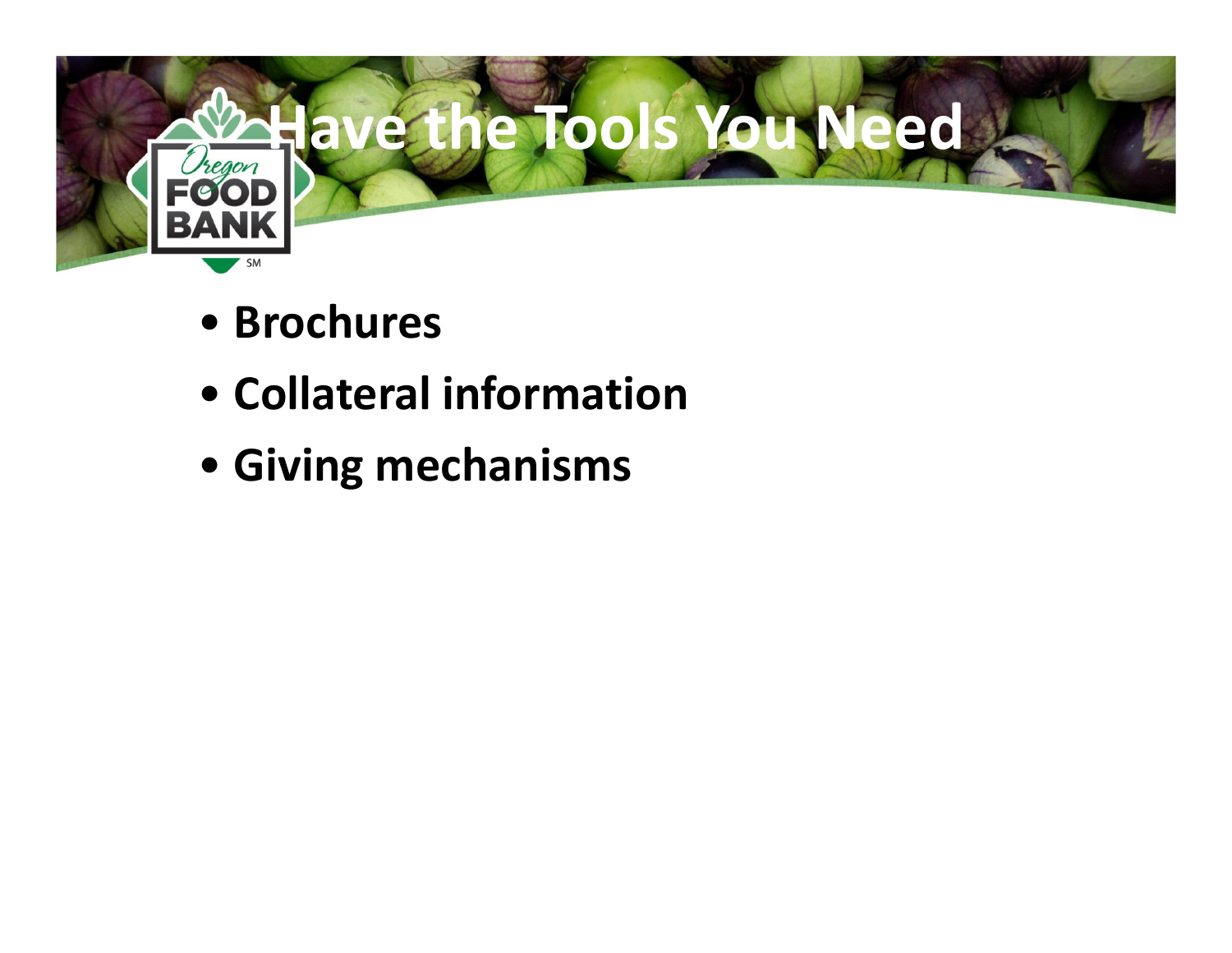

- Brochures
- Collateral information
- Giving mechanisms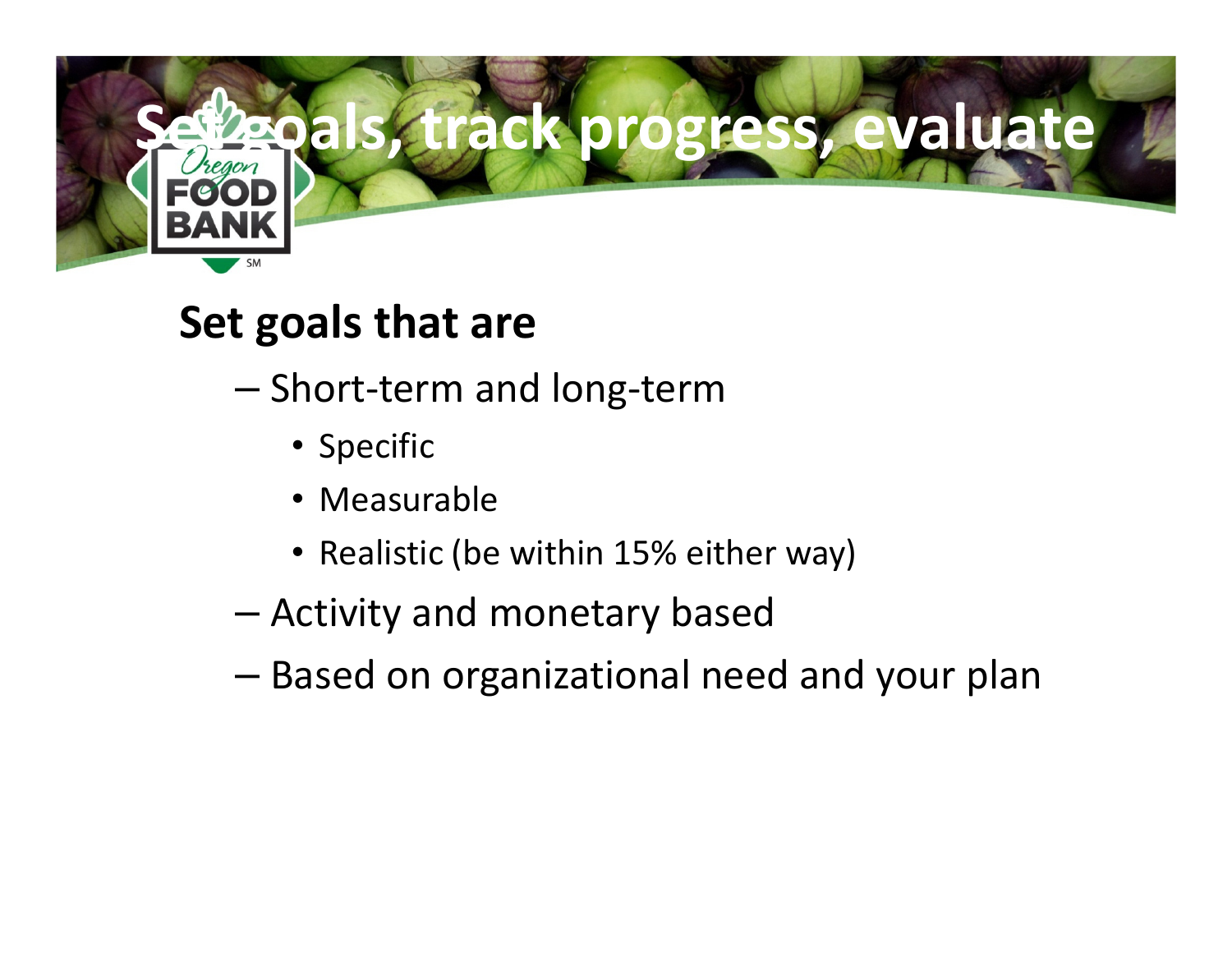

#### Set goals that are

- –- Short-term and long-term
	- Specific
	- Measurable
	- Realistic (be within 15% either way)
- –Activity and monetary based
- –Based on organizational need and your plan